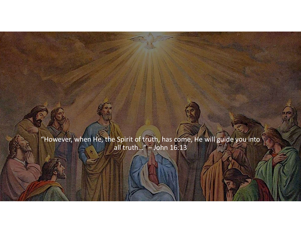"However, when He, the Spirit of truth, has come, He will guide you into all truth…" – John 16:13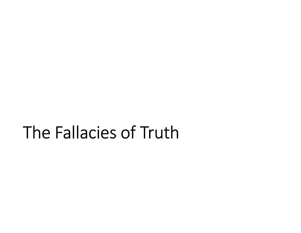### The Fallacies of Truth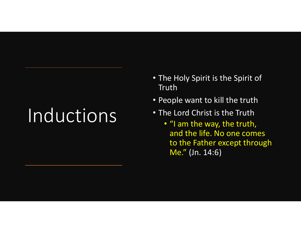## Inductions

- The Holy Spirit is the Spirit of Truth
- People want to kill the truth
- The Lord Christ is the Truth
	- "I am the way, the truth, and the life. No one comes to the Father except through Me." (Jn. 14:6)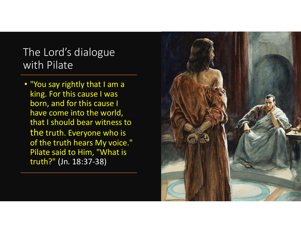#### The Lord's dialogue with Pilate

• "You say rightly that I am a king. For this cause I was born, and for this cause I have come into the world, that I should bear witness to the truth. Everyone who is of the truth hears My voice." Pilate said to Him, "What is truth?" (Jn. 18:37-38)

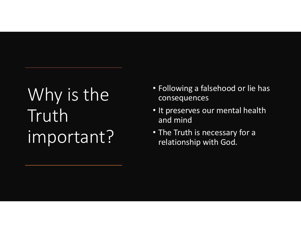### Why is the Truth important?

- Following a falsehood or lie has consequences
- It preserves our mental health and mind
- The Truth is necessary for a relationship with God.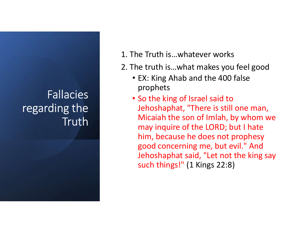### Fallacies regarding the **Truth**

1. The Truth is…whatever works

- 2. The truth is…what makes you feel good
	- EX: King Ahab and the 400 false prophets
	- So the king of Israel said to Jehoshaphat, "There is still one man, Micaiah the son of Imlah, by whom we may inquire of the LORD; but I hate him, because he does not prophesy good concerning me, but evil." And Jehoshaphat said, "Let not the king say such things!" (1 Kings 22:8)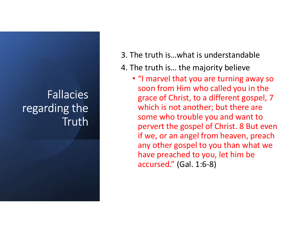#### Fallacies regarding the **Truth**

- 3. The truth is…what is understandable
- 4. The truth is… the majority believe
	- "I marvel that you are turning away so soon from Him who called you in the grace of Christ, to a different gospel, 7 which is not another; but there are some who trouble you and want to pervert the gospel of Christ. 8 But even if we, or an angel from heaven, preach any other gospel to you than what we have preached to you, let him be accursed." (Gal. 1:6-8)